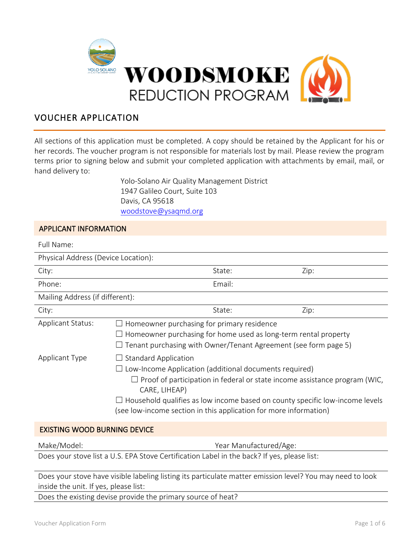

# VOUCHER APPLICATION

All sections of this application must be completed. A copy should be retained by the Applicant for his or her records. The voucher program is not responsible for materials lost by mail. Please review the program terms prior to signing below and submit your completed application with attachments by email, mail, or hand delivery to:

> Yolo-Solano Air Quality Management District 1947 Galileo Court, Suite 103 Davis, CA 95618 woodstove@ysaqmd.org

# APPLICANT INFORMATION

| Full Name:                          |                                                                                                                                                                                                                                                                                                                                                  |        |      |  |
|-------------------------------------|--------------------------------------------------------------------------------------------------------------------------------------------------------------------------------------------------------------------------------------------------------------------------------------------------------------------------------------------------|--------|------|--|
| Physical Address (Device Location): |                                                                                                                                                                                                                                                                                                                                                  |        |      |  |
| City:                               |                                                                                                                                                                                                                                                                                                                                                  | State: | Zip: |  |
| Phone:                              |                                                                                                                                                                                                                                                                                                                                                  | Email: |      |  |
| Mailing Address (if different):     |                                                                                                                                                                                                                                                                                                                                                  |        |      |  |
| City:                               |                                                                                                                                                                                                                                                                                                                                                  | State: | Zip: |  |
| <b>Applicant Status:</b>            | Homeowner purchasing for primary residence<br>Homeowner purchasing for home used as long-term rental property<br>Tenant purchasing with Owner/Tenant Agreement (see form page 5)                                                                                                                                                                 |        |      |  |
| <b>Applicant Type</b>               | <b>Standard Application</b><br>Low-Income Application (additional documents required)<br>$\Box$ Proof of participation in federal or state income assistance program (WIC,<br>CARE, LIHEAP)<br>Household qualifies as low income based on county specific low-income levels<br>(see low-income section in this application for more information) |        |      |  |
|                                     |                                                                                                                                                                                                                                                                                                                                                  |        |      |  |

## EXISTING WOOD BURNING DEVICE

Make/Model: Year Manufactured/Age:

Does your stove list a U.S. EPA Stove Certification Label in the back? If yes, please list:

Does your stove have visible labeling listing its particulate matter emission level? You may need to look inside the unit. If yes, please list:

Does the existing devise provide the primary source of heat?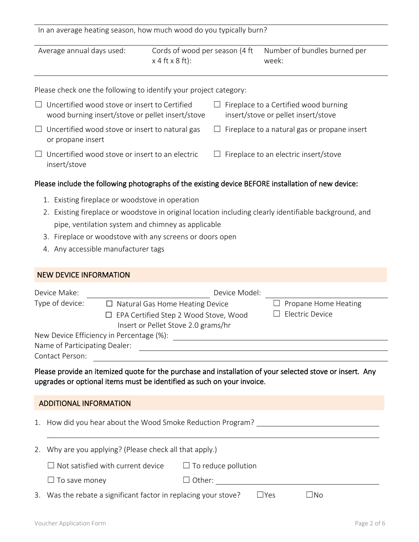| In an average heating season, how much wood do you typically burn? |  |  |
|--------------------------------------------------------------------|--|--|
|--------------------------------------------------------------------|--|--|

Average annual days used: Cords of wood per season (4 ft

 $x 4 ft x 8 ft$ : week:

Number of bundles burned per

Please check one the following to identify your project category:

- $\Box$  Uncertified wood stove or insert to Certified wood burning insert/stove or pellet insert/stove  $\Box$  Fireplace to a Certified wood burning insert/stove or pellet insert/stove  $\Box$  Uncertified wood stove or insert to natural gas or propane insert  $\Box$  Fireplace to a natural gas or propane insert  $\Box$  Fireplace to an electric insert/stove
- $\Box$  Uncertified wood stove or insert to an electric insert/stove

# Please include the following photographs of the existing device BEFORE installation of new device:

- 1. Existing fireplace or woodstove in operation
- 2. Existing fireplace or woodstove in original location including clearly identifiable background, and pipe, ventilation system and chimney as applicable
- 3. Fireplace or woodstove with any screens or doors open
- 4. Any accessible manufacturer tags

|                                                                                                                                                                                    | <b>NEW DEVICE INFORMATION</b>                                                                                                             |                                          |                                                                                           |                                         |  |  |
|------------------------------------------------------------------------------------------------------------------------------------------------------------------------------------|-------------------------------------------------------------------------------------------------------------------------------------------|------------------------------------------|-------------------------------------------------------------------------------------------|-----------------------------------------|--|--|
|                                                                                                                                                                                    | Device Make:                                                                                                                              |                                          | Device Model:                                                                             |                                         |  |  |
|                                                                                                                                                                                    | Type of device:<br>$\Box$ Natural Gas Home Heating Device<br>EPA Certified Step 2 Wood Stove, Wood<br>Insert or Pellet Stove 2.0 grams/hr |                                          |                                                                                           | Propane Home Heating<br>Electric Device |  |  |
|                                                                                                                                                                                    |                                                                                                                                           | New Device Efficiency in Percentage (%): |                                                                                           |                                         |  |  |
|                                                                                                                                                                                    | Name of Participating Dealer:                                                                                                             |                                          | <u> 1980 - Johann Barbara, martin da basar a</u>                                          |                                         |  |  |
|                                                                                                                                                                                    | Contact Person:                                                                                                                           |                                          | the control of the control of the control of the control of the control of the control of |                                         |  |  |
| Please provide an itemized quote for the purchase and installation of your selected stove or insert. Any<br>upgrades or optional items must be identified as such on your invoice. |                                                                                                                                           |                                          |                                                                                           |                                         |  |  |
| ADDITIONAL INFORMATION                                                                                                                                                             |                                                                                                                                           |                                          |                                                                                           |                                         |  |  |
| 1.                                                                                                                                                                                 | How did you hear about the Wood Smoke Reduction Program?                                                                                  |                                          |                                                                                           |                                         |  |  |
|                                                                                                                                                                                    |                                                                                                                                           |                                          |                                                                                           |                                         |  |  |
|                                                                                                                                                                                    | 2. Why are you applying? (Please check all that apply.)                                                                                   |                                          |                                                                                           |                                         |  |  |
|                                                                                                                                                                                    |                                                                                                                                           | Not satisfied with current device        | To reduce pollution                                                                       |                                         |  |  |

3. Was the rebate a significant factor in replacing your stove?  $□$ Yes  $□$ No

 $\Box$  To save money  $\Box$  Other: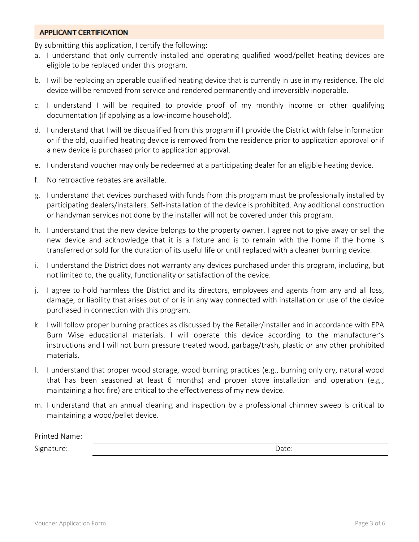#### **APPLICANT CERTIFICATION**

By submitting this application, I certify the following:

- a. I understand that only currently installed and operating qualified wood/pellet heating devices are eligible to be replaced under this program.
- b. I will be replacing an operable qualified heating device that is currently in use in my residence. The old device will be removed from service and rendered permanently and irreversibly inoperable.
- c. I understand I will be required to provide proof of my monthly income or other qualifying documentation (if applying as a low-income household).
- d. I understand that I will be disqualified from this program if I provide the District with false information or if the old, qualified heating device is removed from the residence prior to application approval or if a new device is purchased prior to application approval.
- e. I understand voucher may only be redeemed at a participating dealer for an eligible heating device.
- f. No retroactive rebates are available.
- g. I understand that devices purchased with funds from this program must be professionally installed by participating dealers/installers. Self-installation of the device is prohibited. Any additional construction or handyman services not done by the installer will not be covered under this program.
- h. I understand that the new device belongs to the property owner. I agree not to give away or sell the new device and acknowledge that it is a fixture and is to remain with the home if the home is transferred or sold for the duration of its useful life or until replaced with a cleaner burning device.
- i. I understand the District does not warranty any devices purchased under this program, including, but not limited to, the quality, functionality or satisfaction of the device.
- j. I agree to hold harmless the District and its directors, employees and agents from any and all loss, damage, or liability that arises out of or is in any way connected with installation or use of the device purchased in connection with this program.
- k. I will follow proper burning practices as discussed by the Retailer/Installer and in accordance with EPA Burn Wise educational materials. I will operate this device according to the manufacturer's instructions and I will not burn pressure treated wood, garbage/trash, plastic or any other prohibited materials.
- l. I understand that proper wood storage, wood burning practices (e.g., burning only dry, natural wood that has been seasoned at least 6 months) and proper stove installation and operation (e.g., maintaining a hot fire) are critical to the effectiveness of my new device.
- m. I understand that an annual cleaning and inspection by a professional chimney sweep is critical to maintaining a wood/pellet device.

| Printed Name: |       |
|---------------|-------|
| Signature:    | Date: |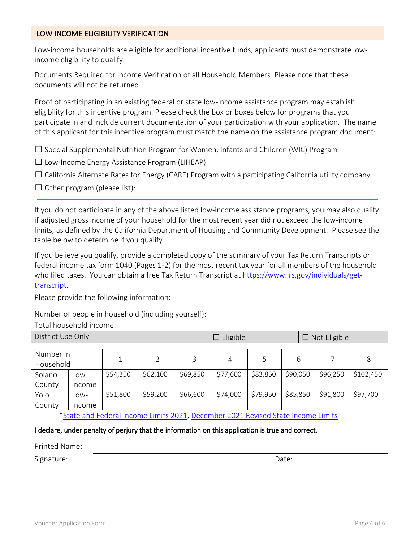# LOW INCOME ELIGIBILITY VERIFICATION

Low-income households are eligible for additional incentive funds, applicants must demonstrate lowincome eligibility to qualify.

Documents Required for Income Verification of all Household Members. Please note that these documents will not be returned.

Proof of participating in an existing federal or state low-income assistance program may establish eligibility for this incentive program. Please check the box or boxes below for programs that you participate in and include current documentation of your participation with your application. The name of this applicant for this incentive program must match the name on the assistance program document:

 $\Box$  Special Supplemental Nutrition Program for Women, Infants and Children (WIC) Program

 $\Box$  Low-Income Energy Assistance Program (LIHEAP)

 $\Box$  California Alternate Rates for Energy (CARE) Program with a participating California utility company

 $\Box$  Other program (please list):

If you do not participate in any of the above listed low-income assistance programs, you may also qualify if adjusted gross income of your household for the most recent year did not exceed the low-income limits, as defined by the California Department of Housing and Community Development. Please see the table below to determine if you qualify.

If you believe you qualify, provide a completed copy of the summary of your Tax Return Transcripts or federal income tax form 1040 (Pages 1-2) for the most recent tax year for all members of the household who filed taxes. You can obtain a free Tax Return Transcript at [https://www.irs.gov/individuals/get](https://www.irs.gov/individuals/get-transcript)[transcript.](https://www.irs.gov/individuals/get-transcript)

Please provide the following information:

| Number of people in household (including yourself): |        |          |                |                                        |          |          |          |          |           |
|-----------------------------------------------------|--------|----------|----------------|----------------------------------------|----------|----------|----------|----------|-----------|
| Total household income:                             |        |          |                |                                        |          |          |          |          |           |
| District Use Only                                   |        |          |                | $\Box$ Eligible<br>$\Box$ Not Eligible |          |          |          |          |           |
|                                                     |        |          |                |                                        |          |          |          |          |           |
| Number in                                           |        | 1        | $\overline{2}$ | 3                                      | 4        | 5        | 6        |          | 8         |
| Household                                           |        |          |                |                                        |          |          |          |          |           |
| Solano                                              | Low-   | \$54,350 | \$62,100       | \$69,850                               | \$77,600 | \$83,850 | \$90,050 | \$96,250 | \$102,450 |
| County                                              | Income |          |                |                                        |          |          |          |          |           |
| Yolo                                                | Low-   | \$51,800 | \$59,200       | \$66,600                               | \$74,000 | \$79,950 | \$85,850 | \$91,800 | \$97,700  |
| County                                              | Income |          |                |                                        |          |          |          |          |           |

[\\*State and Federal Income Limits 2021,](https://www.hcd.ca.gov/grants-funding/income-limits/state-and-federal-income-limits.shtml) [December 2021 Revised State Income Limits](https://www.hcd.ca.gov/grants-funding/income-limits/state-and-federal-income-limits/docs/income-limits-2021.pdf)

#### I declare, under penalty of perjury that the information on this application is true and correct.

Printed Name: Signature: Date: Date: Date: Date: Date: Date: Date: Date: Date: Date: Date: Date: Date: Date: Date: Date: Date: Date: Date: Date: Date: Date: Date: Date: Date: Date: Date: Date: Date: Date: Date: Date: Date: Date: Date: D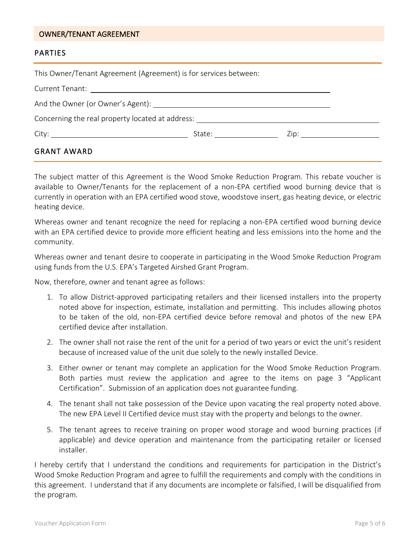#### OWNER/TENANT AGREEMENT

## PARTIES

| This Owner/Tenant Agreement (Agreement) is for services between:                                                                      |                     |  |  |  |
|---------------------------------------------------------------------------------------------------------------------------------------|---------------------|--|--|--|
|                                                                                                                                       |                     |  |  |  |
|                                                                                                                                       |                     |  |  |  |
| Concerning the real property located at address: Concerning the real property of the concerning the real property located at address: |                     |  |  |  |
|                                                                                                                                       | State: <u>_____</u> |  |  |  |
| <b>GRANT AWARD</b>                                                                                                                    |                     |  |  |  |

The subject matter of this Agreement is the Wood Smoke Reduction Program. This rebate voucher is available to Owner/Tenants for the replacement of a non-EPA certified wood burning device that is currently in operation with an EPA certified wood stove, woodstove insert, gas heating device, or electric heating device.

Whereas owner and tenant recognize the need for replacing a non-EPA certified wood burning device with an EPA certified device to provide more efficient heating and less emissions into the home and the community.

Whereas owner and tenant desire to cooperate in participating in the Wood Smoke Reduction Program using funds from the U.S. EPA's Targeted Airshed Grant Program.

Now, therefore, owner and tenant agree as follows:

- 1. To allow District-approved participating retailers and their licensed installers into the property noted above for inspection, estimate, installation and permitting. This includes allowing photos to be taken of the old, non-EPA certified device before removal and photos of the new EPA certified device after installation.
- 2. The owner shall not raise the rent of the unit for a period of two years or evict the unit's resident because of increased value of the unit due solely to the newly installed Device.
- 3. Either owner or tenant may complete an application for the Wood Smoke Reduction Program. Both parties must review the application and agree to the items on page 3 "Applicant Certification". Submission of an application does not guarantee funding.
- 4. The tenant shall not take possession of the Device upon vacating the real property noted above. The new EPA Level II Certified device must stay with the property and belongs to the owner.
- 5. The tenant agrees to receive training on proper wood storage and wood burning practices (if applicable) and device operation and maintenance from the participating retailer or licensed installer.

I hereby certify that I understand the conditions and requirements for participation in the District's Wood Smoke Reduction Program and agree to fulfill the requirements and comply with the conditions in this agreement. I understand that if any documents are incomplete or falsified, I will be disqualified from the program.